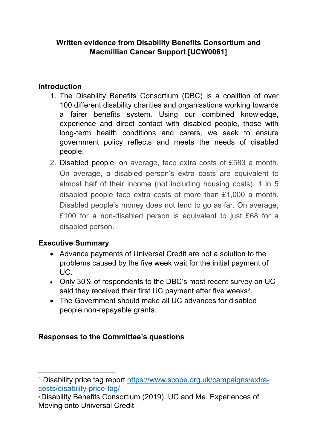## **Written evidence from Disability Benefits Consortium and Macmillian Cancer Support [UCW0061]**

## **Introduction**

- 1. The Disability Benefits Consortium (DBC) is a coalition of over 100 different disability charities and organisations working towards a fairer benefits system. Using our combined knowledge, experience and direct contact with disabled people, those with long-term health conditions and carers, we seek to ensure government policy reflects and meets the needs of disabled people.
- 2. Disabled people, on average, face extra costs of £583 a month. On average, a disabled person's extra costs are equivalent to almost half of their income (not including housing costs). 1 in 5 disabled people face extra costs of more than £1,000 a month. Disabled people's money does not tend to go as far. On average, £100 for a non-disabled person is equivalent to just £68 for a disabled person.<sup>1</sup>

## **Executive Summary**

- Advance payments of Universal Credit are not a solution to the problems caused by the five week wait for the initial payment of  $\overline{U}$
- Only 30% of respondents to the DBC's most recent survey on UC said they received their first UC payment after five weeks<sup>2</sup>.
- The Government should make all UC advances for disabled people non-repayable grants.

## **Responses to the Committee's questions**

<sup>1</sup> Disability price tag report [https://www.scope.org.uk/campaigns/extra](https://www.scope.org.uk/campaigns/extra-costs/disability-price-tag/)[costs/disability-price-tag/](https://www.scope.org.uk/campaigns/extra-costs/disability-price-tag/)

<sup>2</sup> Disability Benefits Consortium (2019). UC and Me. Experiences of Moving onto Universal Credit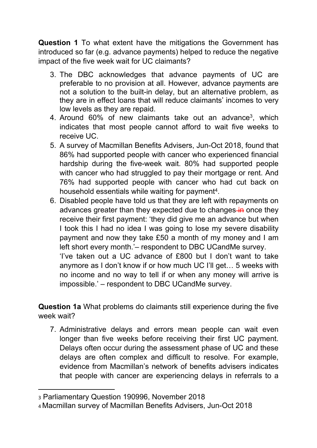**Question 1** To what extent have the mitigations the Government has introduced so far (e.g. advance payments) helped to reduce the negative impact of the five week wait for UC claimants?

- 3. The DBC acknowledges that advance payments of UC are preferable to no provision at all. However, advance payments are not a solution to the built-in delay, but an alternative problem, as they are in effect loans that will reduce claimants' incomes to very low levels as they are repaid.
- 4. Around 60% of new claimants take out an advance<sup>3</sup>, which indicates that most people cannot afford to wait five weeks to receive UC.
- 5. A survey of Macmillan Benefits Advisers, Jun-Oct 2018, found that 86% had supported people with cancer who experienced financial hardship during the five-week wait. 80% had supported people with cancer who had struggled to pay their mortgage or rent. And 76% had supported people with cancer who had cut back on household essentials while waiting for payment<sup>4</sup>.
- 6. Disabled people have told us that they are left with repayments on advances greater than they expected due to changes-in once they receive their first payment: 'they did give me an advance but when I took this I had no idea I was going to lose my severe disability payment and now they take £50 a month of my money and I am left short every month.'– respondent to DBC UCandMe survey.

'I've taken out a UC advance of £800 but I don't want to take anymore as I don't know if or how much UC I'll get… 5 weeks with no income and no way to tell if or when any money will arrive is impossible.' – respondent to DBC UCandMe survey.

**Question 1a** What problems do claimants still experience during the five week wait?

7. Administrative delays and errors mean people can wait even longer than five weeks before receiving their first UC payment. Delays often occur during the assessment phase of UC and these delays are often complex and difficult to resolve. For example, evidence from Macmillan's network of benefits advisers indicates that people with cancer are experiencing delays in referrals to a

<sup>3</sup> Parliamentary Question 190996, November 2018

<sup>4</sup> Macmillan survey of Macmillan Benefits Advisers, Jun-Oct 2018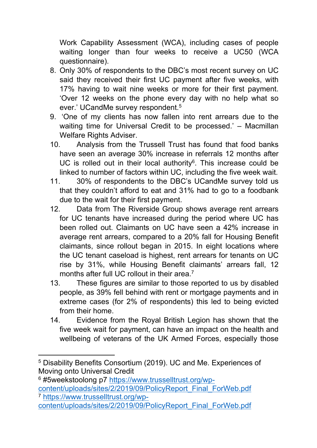Work Capability Assessment (WCA), including cases of people waiting longer than four weeks to receive a UC50 (WCA questionnaire).

- 8. Only 30% of respondents to the DBC's most recent survey on UC said they received their first UC payment after five weeks, with 17% having to wait nine weeks or more for their first payment. 'Over 12 weeks on the phone every day with no help what so ever.' UCandMe survey respondent.<sup>5</sup>
- 9. 'One of my clients has now fallen into rent arrears due to the waiting time for Universal Credit to be processed.' – Macmillan Welfare Rights Adviser.
- 10. Analysis from the Trussell Trust has found that food banks have seen an average 30% increase in referrals 12 months after UC is rolled out in their local authority $6$ . This increase could be linked to number of factors within UC, including the five week wait.
- 11. 30% of respondents to the DBC's UCandMe survey told us that they couldn't afford to eat and 31% had to go to a foodbank due to the wait for their first payment.
- 12. Data from The Riverside Group shows average rent arrears for UC tenants have increased during the period where UC has been rolled out. Claimants on UC have seen a 42% increase in average rent arrears, compared to a 20% fall for Housing Benefit claimants, since rollout began in 2015. In eight locations where the UC tenant caseload is highest, rent arrears for tenants on UC rise by 31%, while Housing Benefit claimants' arrears fall, 12 months after full UC rollout in their area.<sup>7</sup>
- 13. These figures are similar to those reported to us by disabled people, as 39% fell behind with rent or mortgage payments and in extreme cases (for 2% of respondents) this led to being evicted from their home.
- 14. Evidence from the Royal British Legion has shown that the five week wait for payment, can have an impact on the health and wellbeing of veterans of the UK Armed Forces, especially those

<sup>6</sup> #5weekstoolong p7 [https://www.trusselltrust.org/wp](https://www.trusselltrust.org/wp-content/uploads/sites/2/2019/09/PolicyReport_Final_ForWeb.pdf)[content/uploads/sites/2/2019/09/PolicyReport\\_Final\\_ForWeb.pdf](https://www.trusselltrust.org/wp-content/uploads/sites/2/2019/09/PolicyReport_Final_ForWeb.pdf) <sup>7</sup> [https://www.trusselltrust.org/wp-](https://www.trusselltrust.org/wp-content/uploads/sites/2/2019/09/PolicyReport_Final_ForWeb.pdf)

<sup>5</sup> Disability Benefits Consortium (2019). UC and Me. Experiences of Moving onto Universal Credit

[content/uploads/sites/2/2019/09/PolicyReport\\_Final\\_ForWeb.pdf](https://www.trusselltrust.org/wp-content/uploads/sites/2/2019/09/PolicyReport_Final_ForWeb.pdf)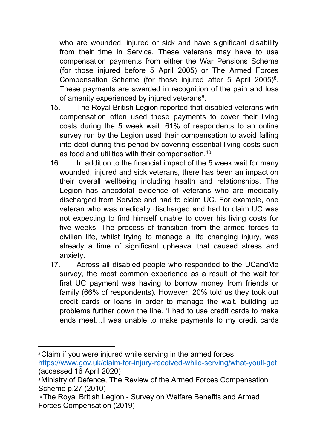who are wounded, injured or sick and have significant disability from their time in Service. These veterans may have to use compensation payments from either the War Pensions Scheme (for those injured before 5 April 2005) or The Armed Forces Compensation Scheme (for those injured after 5 April 2005)<sup>8</sup>. These payments are awarded in recognition of the pain and loss of amenity experienced by injured veterans<sup>9</sup>.

- 15. The Royal British Legion reported that disabled veterans with compensation often used these payments to cover their living costs during the 5 week wait. 61% of respondents to an online survey run by the Legion used their compensation to avoid falling into debt during this period by covering essential living costs such as food and utilities with their compensation.<sup>10</sup>
- 16. In addition to the financial impact of the 5 week wait for many wounded, injured and sick veterans, there has been an impact on their overall wellbeing including health and relationships. The Legion has anecdotal evidence of veterans who are medically discharged from Service and had to claim UC. For example, one veteran who was medically discharged and had to claim UC was not expecting to find himself unable to cover his living costs for five weeks. The process of transition from the armed forces to civilian life, whilst trying to manage a life changing injury, was already a time of significant upheaval that caused stress and anxiety.
- 17. Across all disabled people who responded to the UCandMe survey, the most common experience as a result of the wait for first UC payment was having to borrow money from friends or family (66% of respondents). However, 20% told us they took out credit cards or loans in order to manage the wait, building up problems further down the line. 'I had to use credit cards to make ends meet…I was unable to make payments to my credit cards

<sup>8</sup> Claim if you were injured while serving in the armed forces <https://www.gov.uk/claim-for-injury-received-while-serving/what-youll-get> (accessed 16 April 2020)

<sup>9</sup> Ministry of Defence, The Review of the Armed Forces Compensation Scheme p.27 (2010)

<sup>10</sup> The Royal British Legion - Survey on Welfare Benefits and Armed Forces Compensation (2019)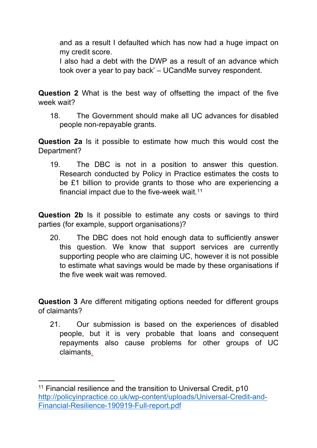and as a result I defaulted which has now had a huge impact on my credit score.

I also had a debt with the DWP as a result of an advance which took over a year to pay back' *–* UCandMe survey respondent.

**Question 2** What is the best way of offsetting the impact of the five week wait?

18. The Government should make all UC advances for disabled people non-repayable grants.

**Question 2a** Is it possible to estimate how much this would cost the Department?

19. The DBC is not in a position to answer this question. Research conducted by Policy in Practice estimates the costs to be £1 billion to provide grants to those who are experiencing a financial impact due to the five-week wait.<sup>11</sup>

**Question 2b** Is it possible to estimate any costs or savings to third parties (for example, support organisations)?

20. The DBC does not hold enough data to sufficiently answer this question. We know that support services are currently supporting people who are claiming UC, however it is not possible to estimate what savings would be made by these organisations if the five week wait was removed.

**Question 3** Are different mitigating options needed for different groups of claimants?

21. Our submission is based on the experiences of disabled people, but it is very probable that loans and consequent repayments also cause problems for other groups of UC claimants.

<sup>11</sup> Financial resilience and the transition to Universal Credit, p10 [http://policyinpractice.co.uk/wp-content/uploads/Universal-Credit-and-](http://policyinpractice.co.uk/wp-content/uploads/Universal-Credit-and-Financial-Resilience-190919-Full-report.pdf)[Financial-Resilience-190919-Full-report.pdf](http://policyinpractice.co.uk/wp-content/uploads/Universal-Credit-and-Financial-Resilience-190919-Full-report.pdf)